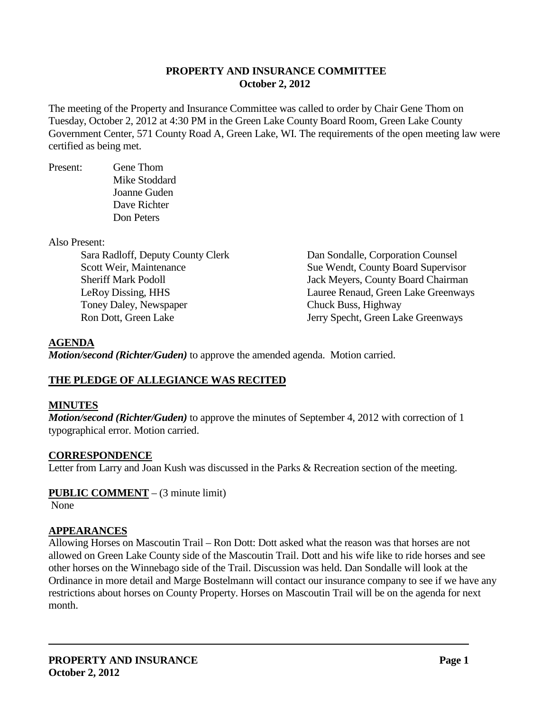### **PROPERTY AND INSURANCE COMMITTEE October 2, 2012**

The meeting of the Property and Insurance Committee was called to order by Chair Gene Thom on Tuesday, October 2, 2012 at 4:30 PM in the Green Lake County Board Room, Green Lake County Government Center, 571 County Road A, Green Lake, WI. The requirements of the open meeting law were certified as being met.

Present: Gene Thom Mike Stoddard Joanne Guden Dave Richter Don Peters

#### Also Present:

Toney Daley, Newspaper Chuck Buss, Highway

Sara Radloff, Deputy County Clerk Dan Sondalle, Corporation Counsel Scott Weir, Maintenance Sue Wendt, County Board Supervisor Sheriff Mark Podoll Jack Meyers, County Board Chairman LeRoy Dissing, HHS Lauree Renaud, Green Lake Greenways Ron Dott, Green Lake Jerry Specht, Green Lake Greenways

### **AGENDA**

*Motion/second (Richter/Guden)* to approve the amended agenda. Motion carried.

## **THE PLEDGE OF ALLEGIANCE WAS RECITED**

### **MINUTES**

*Motion/second (Richter/Guden)* to approve the minutes of September 4, 2012 with correction of 1 typographical error. Motion carried.

### **CORRESPONDENCE**

Letter from Larry and Joan Kush was discussed in the Parks & Recreation section of the meeting.

### **PUBLIC COMMENT** – (3 minute limit)

None

## **APPEARANCES**

Allowing Horses on Mascoutin Trail – Ron Dott: Dott asked what the reason was that horses are not allowed on Green Lake County side of the Mascoutin Trail. Dott and his wife like to ride horses and see other horses on the Winnebago side of the Trail. Discussion was held. Dan Sondalle will look at the Ordinance in more detail and Marge Bostelmann will contact our insurance company to see if we have any restrictions about horses on County Property. Horses on Mascoutin Trail will be on the agenda for next month.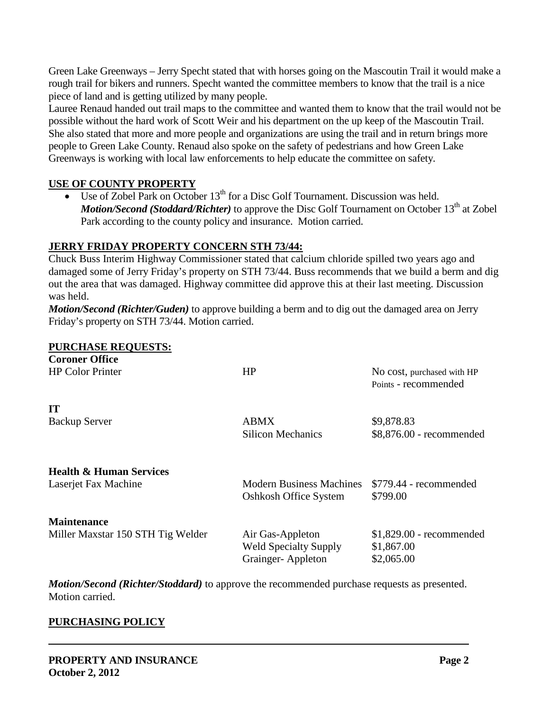Green Lake Greenways – Jerry Specht stated that with horses going on the Mascoutin Trail it would make a rough trail for bikers and runners. Specht wanted the committee members to know that the trail is a nice piece of land and is getting utilized by many people.

Lauree Renaud handed out trail maps to the committee and wanted them to know that the trail would not be possible without the hard work of Scott Weir and his department on the up keep of the Mascoutin Trail. She also stated that more and more people and organizations are using the trail and in return brings more people to Green Lake County. Renaud also spoke on the safety of pedestrians and how Green Lake Greenways is working with local law enforcements to help educate the committee on safety.

## **USE OF COUNTY PROPERTY**

• Use of Zobel Park on October  $13<sup>th</sup>$  for a Disc Golf Tournament. Discussion was held. *Motion/Second (Stoddard/Richter)* to approve the Disc Golf Tournament on October 13<sup>th</sup> at Zobel Park according to the county policy and insurance. Motion carried.

### **JERRY FRIDAY PROPERTY CONCERN STH 73/44:**

Chuck Buss Interim Highway Commissioner stated that calcium chloride spilled two years ago and damaged some of Jerry Friday's property on STH 73/44. Buss recommends that we build a berm and dig out the area that was damaged. Highway committee did approve this at their last meeting. Discussion was held.

*Motion/Second (Richter/Guden)* to approve building a berm and to dig out the damaged area on Jerry Friday's property on STH 73/44. Motion carried.

#### **PURCHASE REQUESTS:**

| <b>Coroner Office</b>              |                                 |                                                    |
|------------------------------------|---------------------------------|----------------------------------------------------|
| <b>HP Color Printer</b>            | HP                              | No cost, purchased with HP<br>Points - recommended |
| <b>IT</b>                          |                                 |                                                    |
| <b>Backup Server</b>               | <b>ABMX</b>                     | \$9,878.83                                         |
|                                    | <b>Silicon Mechanics</b>        | \$8,876.00 - recommended                           |
| <b>Health &amp; Human Services</b> |                                 |                                                    |
| Laserjet Fax Machine               | <b>Modern Business Machines</b> | \$779.44 - recommended                             |
|                                    | <b>Oshkosh Office System</b>    | \$799.00                                           |
| <b>Maintenance</b>                 |                                 |                                                    |
| Miller Maxstar 150 STH Tig Welder  | Air Gas-Appleton                | $$1,829.00$ - recommended                          |
|                                    | <b>Weld Specialty Supply</b>    | \$1,867.00                                         |
|                                    | Grainger-Appleton               | \$2,065.00                                         |
|                                    |                                 |                                                    |

*Motion/Second (Richter/Stoddard)* to approve the recommended purchase requests as presented. Motion carried.

### **PURCHASING POLICY**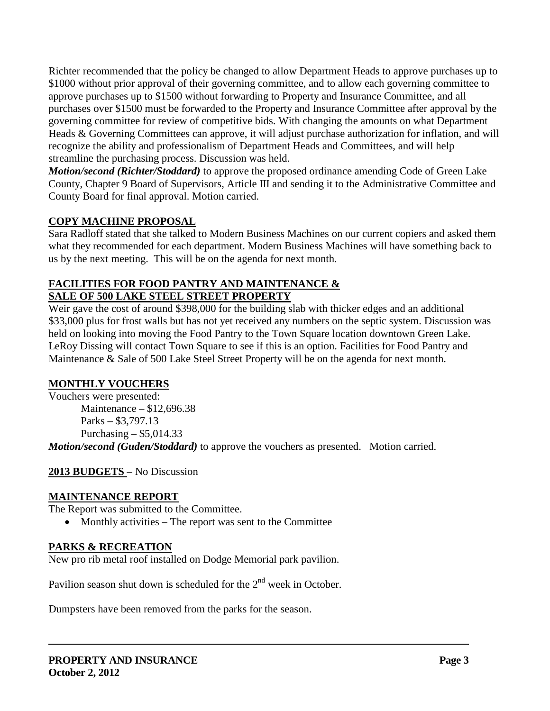Richter recommended that the policy be changed to allow Department Heads to approve purchases up to \$1000 without prior approval of their governing committee, and to allow each governing committee to approve purchases up to \$1500 without forwarding to Property and Insurance Committee, and all purchases over \$1500 must be forwarded to the Property and Insurance Committee after approval by the governing committee for review of competitive bids. With changing the amounts on what Department Heads & Governing Committees can approve, it will adjust purchase authorization for inflation, and will recognize the ability and professionalism of Department Heads and Committees, and will help streamline the purchasing process. Discussion was held.

*Motion/second (Richter/Stoddard)* to approve the proposed ordinance amending Code of Green Lake County, Chapter 9 Board of Supervisors, Article III and sending it to the Administrative Committee and County Board for final approval. Motion carried.

## **COPY MACHINE PROPOSAL**

Sara Radloff stated that she talked to Modern Business Machines on our current copiers and asked them what they recommended for each department. Modern Business Machines will have something back to us by the next meeting. This will be on the agenda for next month.

### **FACILITIES FOR FOOD PANTRY AND MAINTENANCE & SALE OF 500 LAKE STEEL STREET PROPERTY**

Weir gave the cost of around \$398,000 for the building slab with thicker edges and an additional \$33,000 plus for frost walls but has not yet received any numbers on the septic system. Discussion was held on looking into moving the Food Pantry to the Town Square location downtown Green Lake. LeRoy Dissing will contact Town Square to see if this is an option. Facilities for Food Pantry and Maintenance & Sale of 500 Lake Steel Street Property will be on the agenda for next month.

### **MONTHLY VOUCHERS**

Vouchers were presented: Maintenance – \$12,696.38 Parks – \$3,797.13 Purchasing  $-$  \$5,014.33 *Motion/second (Guden/Stoddard)* to approve the vouchers as presented. Motion carried.

**2013 BUDGETS** – No Discussion

## **MAINTENANCE REPORT**

The Report was submitted to the Committee.

• Monthly activities – The report was sent to the Committee

### **PARKS & RECREATION**

New pro rib metal roof installed on Dodge Memorial park pavilion.

Pavilion season shut down is scheduled for the  $2<sup>nd</sup>$  week in October.

Dumpsters have been removed from the parks for the season.